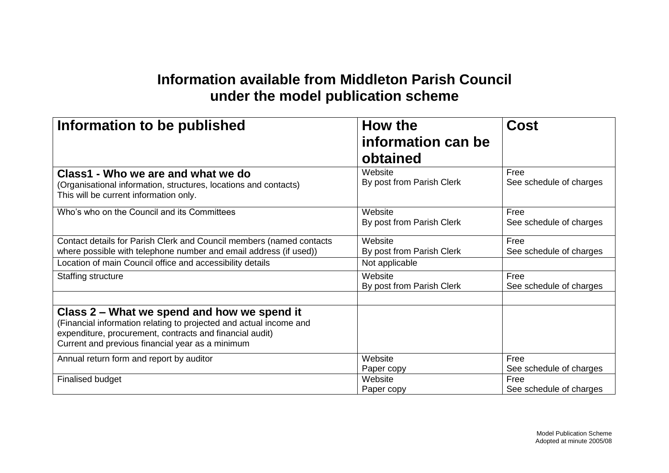## **Information available from Middleton Parish Council under the model publication scheme**

| Information to be published                                                                                                                                                                                                       | How the<br>information can be<br>obtained              | Cost                            |
|-----------------------------------------------------------------------------------------------------------------------------------------------------------------------------------------------------------------------------------|--------------------------------------------------------|---------------------------------|
| Class1 - Who we are and what we do<br>(Organisational information, structures, locations and contacts)<br>This will be current information only.                                                                                  | Website<br>By post from Parish Clerk                   | Free<br>See schedule of charges |
| Who's who on the Council and its Committees                                                                                                                                                                                       | Website<br>By post from Parish Clerk                   | Free<br>See schedule of charges |
| Contact details for Parish Clerk and Council members (named contacts<br>where possible with telephone number and email address (if used))<br>Location of main Council office and accessibility details                            | Website<br>By post from Parish Clerk<br>Not applicable | Free<br>See schedule of charges |
| Staffing structure                                                                                                                                                                                                                | Website<br>By post from Parish Clerk                   | Free<br>See schedule of charges |
| Class 2 – What we spend and how we spend it<br>(Financial information relating to projected and actual income and<br>expenditure, procurement, contracts and financial audit)<br>Current and previous financial year as a minimum |                                                        |                                 |
| Annual return form and report by auditor                                                                                                                                                                                          | Website<br>Paper copy                                  | Free<br>See schedule of charges |
| Finalised budget                                                                                                                                                                                                                  | Website<br>Paper copy                                  | Free<br>See schedule of charges |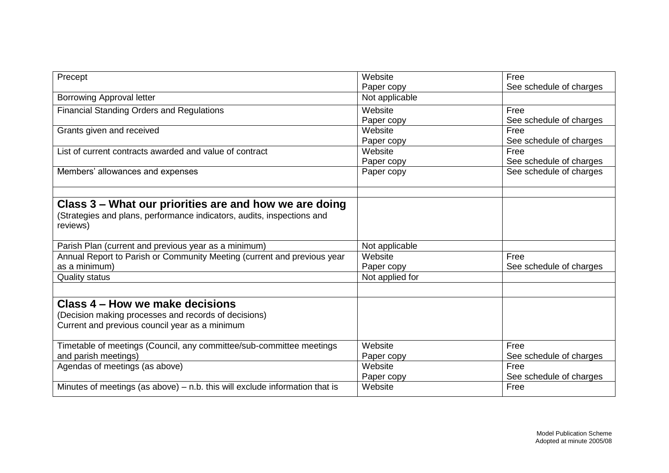| Precept                                                                       | Website         | Free                    |
|-------------------------------------------------------------------------------|-----------------|-------------------------|
|                                                                               | Paper copy      | See schedule of charges |
| <b>Borrowing Approval letter</b>                                              | Not applicable  |                         |
| <b>Financial Standing Orders and Regulations</b>                              | Website         | Free                    |
|                                                                               | Paper copy      | See schedule of charges |
| Grants given and received                                                     | Website         | Free                    |
|                                                                               | Paper copy      | See schedule of charges |
| List of current contracts awarded and value of contract                       | Website         | Free                    |
|                                                                               | Paper copy      | See schedule of charges |
| Members' allowances and expenses                                              | Paper copy      | See schedule of charges |
|                                                                               |                 |                         |
| Class 3 – What our priorities are and how we are doing                        |                 |                         |
| (Strategies and plans, performance indicators, audits, inspections and        |                 |                         |
| reviews)                                                                      |                 |                         |
|                                                                               |                 |                         |
| Parish Plan (current and previous year as a minimum)                          | Not applicable  |                         |
| Annual Report to Parish or Community Meeting (current and previous year       | Website         | Free                    |
| as a minimum)                                                                 | Paper copy      | See schedule of charges |
| <b>Quality status</b>                                                         | Not applied for |                         |
|                                                                               |                 |                         |
| Class 4 – How we make decisions                                               |                 |                         |
| (Decision making processes and records of decisions)                          |                 |                         |
| Current and previous council year as a minimum                                |                 |                         |
|                                                                               |                 |                         |
| Timetable of meetings (Council, any committee/sub-committee meetings          | Website         | Free                    |
| and parish meetings)                                                          | Paper copy      | See schedule of charges |
| Agendas of meetings (as above)                                                | Website         | Free                    |
|                                                                               | Paper copy      | See schedule of charges |
| Minutes of meetings (as above) $-$ n.b. this will exclude information that is | Website         | Free                    |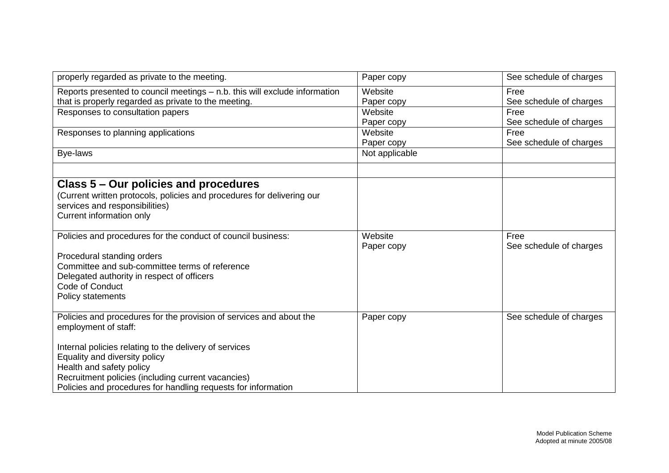| properly regarded as private to the meeting.                                                                                                                                                                                                                                                                                              | Paper copy            | See schedule of charges         |
|-------------------------------------------------------------------------------------------------------------------------------------------------------------------------------------------------------------------------------------------------------------------------------------------------------------------------------------------|-----------------------|---------------------------------|
| Reports presented to council meetings - n.b. this will exclude information<br>that is properly regarded as private to the meeting.                                                                                                                                                                                                        | Website<br>Paper copy | Free<br>See schedule of charges |
| Responses to consultation papers                                                                                                                                                                                                                                                                                                          | Website<br>Paper copy | Free<br>See schedule of charges |
| Responses to planning applications                                                                                                                                                                                                                                                                                                        | Website<br>Paper copy | Free<br>See schedule of charges |
| Bye-laws                                                                                                                                                                                                                                                                                                                                  | Not applicable        |                                 |
| Class 5 – Our policies and procedures<br>(Current written protocols, policies and procedures for delivering our<br>services and responsibilities)<br>Current information only                                                                                                                                                             |                       |                                 |
| Policies and procedures for the conduct of council business:<br>Procedural standing orders<br>Committee and sub-committee terms of reference<br>Delegated authority in respect of officers<br>Code of Conduct<br>Policy statements                                                                                                        | Website<br>Paper copy | Free<br>See schedule of charges |
| Policies and procedures for the provision of services and about the<br>employment of staff:<br>Internal policies relating to the delivery of services<br>Equality and diversity policy<br>Health and safety policy<br>Recruitment policies (including current vacancies)<br>Policies and procedures for handling requests for information | Paper copy            | See schedule of charges         |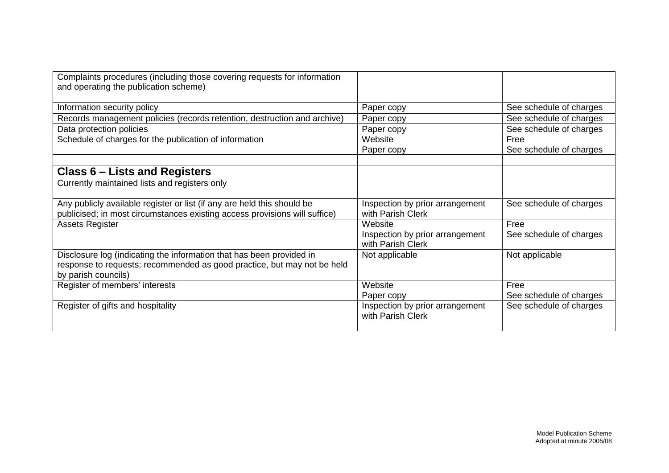| Complaints procedures (including those covering requests for information<br>and operating the publication scheme)                                                      |                                                                 |                                 |
|------------------------------------------------------------------------------------------------------------------------------------------------------------------------|-----------------------------------------------------------------|---------------------------------|
| Information security policy                                                                                                                                            | Paper copy                                                      | See schedule of charges         |
| Records management policies (records retention, destruction and archive)                                                                                               | Paper copy                                                      | See schedule of charges         |
| Data protection policies                                                                                                                                               | Paper copy                                                      | See schedule of charges         |
| Schedule of charges for the publication of information                                                                                                                 | Website<br>Paper copy                                           | Free<br>See schedule of charges |
| Class 6 – Lists and Registers<br>Currently maintained lists and registers only                                                                                         |                                                                 |                                 |
| Any publicly available register or list (if any are held this should be<br>publicised; in most circumstances existing access provisions will suffice)                  | Inspection by prior arrangement<br>with Parish Clerk            | See schedule of charges         |
| <b>Assets Register</b>                                                                                                                                                 | Website<br>Inspection by prior arrangement<br>with Parish Clerk | Free<br>See schedule of charges |
| Disclosure log (indicating the information that has been provided in<br>response to requests; recommended as good practice, but may not be held<br>by parish councils) | Not applicable                                                  | Not applicable                  |
| Register of members' interests                                                                                                                                         | Website<br>Paper copy                                           | Free<br>See schedule of charges |
| Register of gifts and hospitality                                                                                                                                      | Inspection by prior arrangement<br>with Parish Clerk            | See schedule of charges         |